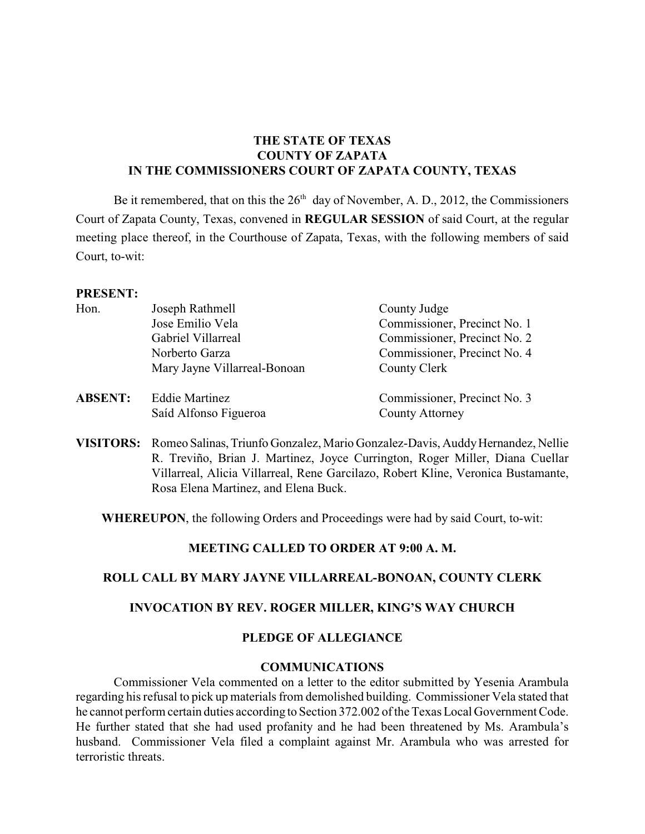# **THE STATE OF TEXAS COUNTY OF ZAPATA IN THE COMMISSIONERS COURT OF ZAPATA COUNTY, TEXAS**

Be it remembered, that on this the  $26<sup>th</sup>$  day of November, A. D., 2012, the Commissioners Court of Zapata County, Texas, convened in **REGULAR SESSION** of said Court, at the regular meeting place thereof, in the Courthouse of Zapata, Texas, with the following members of said Court, to-wit:

#### **PRESENT:**

| Hon.           | Joseph Rathmell              | County Judge                 |
|----------------|------------------------------|------------------------------|
|                | Jose Emilio Vela             | Commissioner, Precinct No. 1 |
|                | Gabriel Villarreal           | Commissioner, Precinct No. 2 |
|                | Norberto Garza               | Commissioner, Precinct No. 4 |
|                | Mary Jayne Villarreal-Bonoan | County Clerk                 |
| <b>ABSENT:</b> | <b>Eddie Martinez</b>        | Commissioner, Precinct No. 3 |
|                | Saíd Alfonso Figueroa        | <b>County Attorney</b>       |

**VISITORS:** Romeo Salinas, Triunfo Gonzalez, Mario Gonzalez-Davis, Auddy Hernandez, Nellie R. Treviño, Brian J. Martinez, Joyce Currington, Roger Miller, Diana Cuellar Villarreal, Alicia Villarreal, Rene Garcilazo, Robert Kline, Veronica Bustamante, Rosa Elena Martinez, and Elena Buck.

**WHEREUPON**, the following Orders and Proceedings were had by said Court, to-wit:

### **MEETING CALLED TO ORDER AT 9:00 A. M.**

### **ROLL CALL BY MARY JAYNE VILLARREAL-BONOAN, COUNTY CLERK**

### **INVOCATION BY REV. ROGER MILLER, KING'S WAY CHURCH**

### **PLEDGE OF ALLEGIANCE**

### **COMMUNICATIONS**

Commissioner Vela commented on a letter to the editor submitted by Yesenia Arambula regarding his refusal to pick up materials from demolished building. Commissioner Vela stated that he cannot perform certain duties according to Section 372.002 of the Texas Local Government Code. He further stated that she had used profanity and he had been threatened by Ms. Arambula's husband. Commissioner Vela filed a complaint against Mr. Arambula who was arrested for terroristic threats.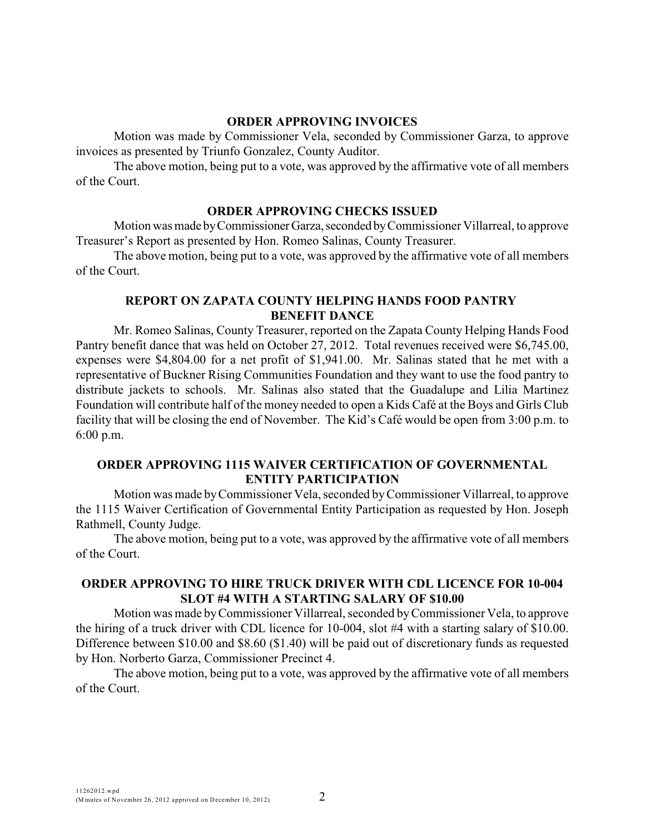### **ORDER APPROVING INVOICES**

Motion was made by Commissioner Vela, seconded by Commissioner Garza, to approve invoices as presented by Triunfo Gonzalez, County Auditor.

The above motion, being put to a vote, was approved by the affirmative vote of all members of the Court.

## **ORDER APPROVING CHECKS ISSUED**

Motion was made by Commissioner Garza, seconded by Commissioner Villarreal, to approve Treasurer's Report as presented by Hon. Romeo Salinas, County Treasurer.

The above motion, being put to a vote, was approved by the affirmative vote of all members of the Court.

## **REPORT ON ZAPATA COUNTY HELPING HANDS FOOD PANTRY BENEFIT DANCE**

Mr. Romeo Salinas, County Treasurer, reported on the Zapata County Helping Hands Food Pantry benefit dance that was held on October 27, 2012. Total revenues received were \$6,745.00, expenses were \$4,804.00 for a net profit of \$1,941.00. Mr. Salinas stated that he met with a representative of Buckner Rising Communities Foundation and they want to use the food pantry to distribute jackets to schools. Mr. Salinas also stated that the Guadalupe and Lilia Martinez Foundation will contribute half of the money needed to open a Kids Café at the Boys and Girls Club facility that will be closing the end of November. The Kid's Café would be open from 3:00 p.m. to 6:00 p.m.

## **ORDER APPROVING 1115 WAIVER CERTIFICATION OF GOVERNMENTAL ENTITY PARTICIPATION**

Motion was made byCommissioner Vela, seconded by Commissioner Villarreal, to approve the 1115 Waiver Certification of Governmental Entity Participation as requested by Hon. Joseph Rathmell, County Judge.

The above motion, being put to a vote, was approved by the affirmative vote of all members of the Court.

# **ORDER APPROVING TO HIRE TRUCK DRIVER WITH CDL LICENCE FOR 10-004 SLOT #4 WITH A STARTING SALARY OF \$10.00**

Motion was made by Commissioner Villarreal, seconded byCommissioner Vela, to approve the hiring of a truck driver with CDL licence for 10-004, slot #4 with a starting salary of \$10.00. Difference between \$10.00 and \$8.60 (\$1.40) will be paid out of discretionary funds as requested by Hon. Norberto Garza, Commissioner Precinct 4.

The above motion, being put to a vote, was approved by the affirmative vote of all members of the Court.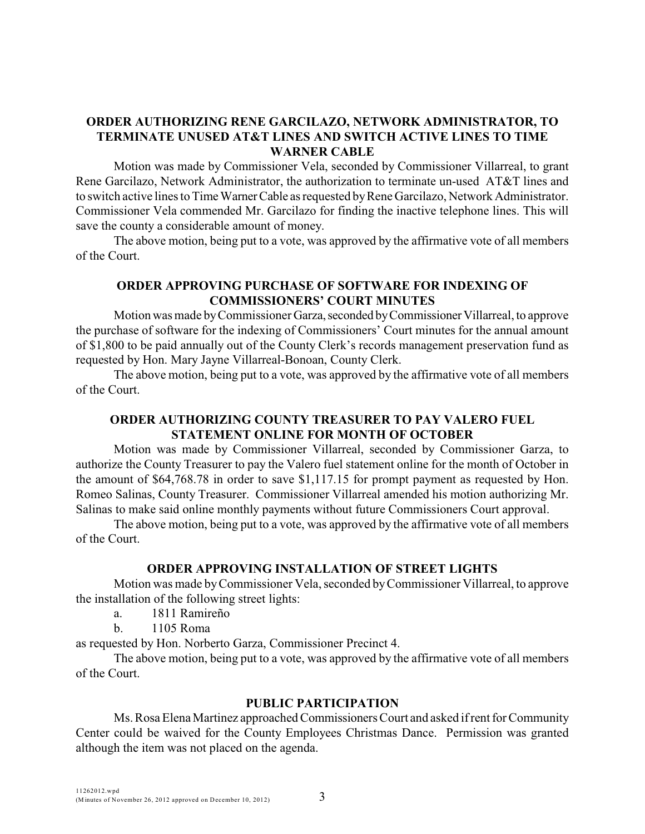## **ORDER AUTHORIZING RENE GARCILAZO, NETWORK ADMINISTRATOR, TO TERMINATE UNUSED AT&T LINES AND SWITCH ACTIVE LINES TO TIME WARNER CABLE**

Motion was made by Commissioner Vela, seconded by Commissioner Villarreal, to grant Rene Garcilazo, Network Administrator, the authorization to terminate un-used AT&T lines and to switch active lines to Time Warner Cable as requested by Rene Garcilazo, Network Administrator. Commissioner Vela commended Mr. Garcilazo for finding the inactive telephone lines. This will save the county a considerable amount of money.

The above motion, being put to a vote, was approved by the affirmative vote of all members of the Court.

## **ORDER APPROVING PURCHASE OF SOFTWARE FOR INDEXING OF COMMISSIONERS' COURT MINUTES**

Motion was made by Commissioner Garza, seconded by Commissioner Villarreal, to approve the purchase of software for the indexing of Commissioners' Court minutes for the annual amount of \$1,800 to be paid annually out of the County Clerk's records management preservation fund as requested by Hon. Mary Jayne Villarreal-Bonoan, County Clerk.

The above motion, being put to a vote, was approved by the affirmative vote of all members of the Court.

## **ORDER AUTHORIZING COUNTY TREASURER TO PAY VALERO FUEL STATEMENT ONLINE FOR MONTH OF OCTOBER**

Motion was made by Commissioner Villarreal, seconded by Commissioner Garza, to authorize the County Treasurer to pay the Valero fuel statement online for the month of October in the amount of \$64,768.78 in order to save \$1,117.15 for prompt payment as requested by Hon. Romeo Salinas, County Treasurer. Commissioner Villarreal amended his motion authorizing Mr. Salinas to make said online monthly payments without future Commissioners Court approval.

The above motion, being put to a vote, was approved by the affirmative vote of all members of the Court.

### **ORDER APPROVING INSTALLATION OF STREET LIGHTS**

Motion was made by Commissioner Vela, seconded byCommissioner Villarreal, to approve the installation of the following street lights:

- a. 1811 Ramireño
- b. 1105 Roma

as requested by Hon. Norberto Garza, Commissioner Precinct 4.

The above motion, being put to a vote, was approved by the affirmative vote of all members of the Court.

### **PUBLIC PARTICIPATION**

Ms. Rosa Elena Martinez approached Commissioners Court and asked if rent for Community Center could be waived for the County Employees Christmas Dance. Permission was granted although the item was not placed on the agenda.